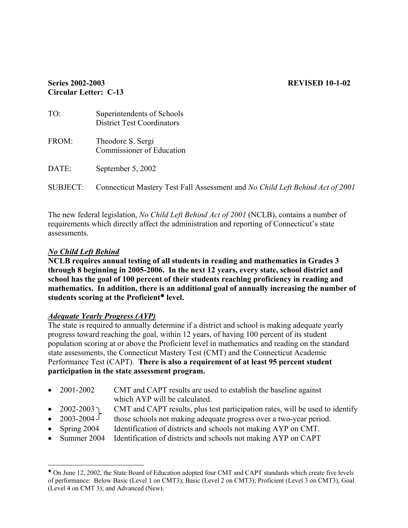### **Series 2002-2003 REVISED 10-1-02 Circular Letter: C-13**

| TO:             | Superintendents of Schools<br><b>District Test Coordinators</b>               |
|-----------------|-------------------------------------------------------------------------------|
| FROM:           | Theodore S. Sergi<br>Commissioner of Education                                |
| DATE:           | September 5, 2002                                                             |
| <b>SUBJECT:</b> | Connecticut Mastery Test Fall Assessment and No Child Left Behind Act of 2001 |

The new federal legislation, *No Child Left Behind Act of 2001* (NCLB), contains a number of requirements which directly affect the administration and reporting of Connecticut's state assessments.

### *No Child Left Behind*

**NCLB requires annual testing of all students in reading and mathematics in Grades 3 through 8 beginning in 2005-2006. In the next 12 years, every state, school district and school has the goal of 100 percent of their students reaching proficiency in reading and mathematics. In addition, there is an additional goal of annually increasing the number of students scoring at the Proficient<sup>\*</sup> level.** 

### *Adequate Yearly Progress (AYP)*

The state is required to annually determine if a district and school is making adequate yearly progress toward reaching the goal, within 12 years, of having 100 percent of its student population scoring at or above the Proficient level in mathematics and reading on the standard state assessments, the Connecticut Mastery Test (CMT) and the Connecticut Academic Performance Test (CAPT). **There is also a requirement of at least 95 percent student participation in the state assessment program.** 

| • $2001 - 2002$ | CMT and CAPT results are used to establish the baseline against |
|-----------------|-----------------------------------------------------------------|
|                 | which AYP will be calculated.                                   |

- 2002-2003 CMT and CAPT results, plus test participation rates, will be used to identify
- 2003-2004 those schools not making adequate progress over a two-year period.
- Spring 2004 Identification of districts and schools not making AYP on CMT.
- Summer 2004 Identification of districts and schools not making AYP on CAPT

 $\overline{a}$ <sup>Å</sup> On June 12, 2002, the State Board of Education adopted four CMT and CAPT standards which create five levels of performance: Below Basic (Level 1 on CMT3); Basic (Level 2 on CMT3); Proficient (Level 3 on CMT3), Goal (Level 4 on CMT 3); and Advanced (New).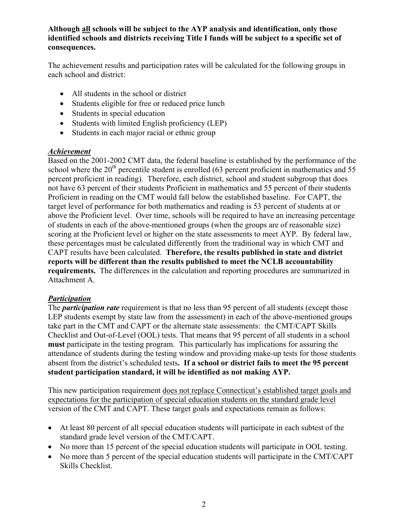### **Although all schools will be subject to the AYP analysis and identification, only those identified schools and districts receiving Title I funds will be subject to a specific set of consequences.**

The achievement results and participation rates will be calculated for the following groups in each school and district:

- All students in the school or district
- Students eligible for free or reduced price lunch
- Students in special education
- Students with limited English proficiency (LEP)
- Students in each major racial or ethnic group

### *Achievement*

Based on the 2001-2002 CMT data, the federal baseline is established by the performance of the school where the  $20<sup>th</sup>$  percentile student is enrolled (63 percent proficient in mathematics and 55 percent proficient in reading). Therefore, each district, school and student subgroup that does not have 63 percent of their students Proficient in mathematics and 55 percent of their students Proficient in reading on the CMT would fall below the established baseline. For CAPT, the target level of performance for both mathematics and reading is 53 percent of students at or above the Proficient level. Over time, schools will be required to have an increasing percentage of students in each of the above-mentioned groups (when the groups are of reasonable size) scoring at the Proficient level or higher on the state assessments to meet AYP. By federal law, these percentages must be calculated differently from the traditional way in which CMT and CAPT results have been calculated. **Therefore, the results published in state and district reports will be different than the results published to meet the NCLB accountability requirements.** The differences in the calculation and reporting procedures are summarized in Attachment A.

### *Participation*

The *participation rate* requirement is that no less than 95 percent of all students (except those LEP students exempt by state law from the assessment) in each of the above-mentioned groups take part in the CMT and CAPT or the alternate state assessments: the CMT/CAPT Skills Checklist and Out-of-Level (OOL) tests. That means that 95 percent of all students in a school **must** participate in the testing program. This particularly has implications for assuring the attendance of students during the testing window and providing make-up tests for those students absent from the district's scheduled tests**. If a school or district fails to meet the 95 percent student participation standard, it will be identified as not making AYP.** 

This new participation requirement does not replace Connecticut's established target goals and expectations for the participation of special education students on the standard grade level version of the CMT and CAPT. These target goals and expectations remain as follows:

- At least 80 percent of all special education students will participate in each subtest of the standard grade level version of the CMT/CAPT.
- No more than 15 percent of the special education students will participate in OOL testing.
- No more than 5 percent of the special education students will participate in the CMT/CAPT Skills Checklist.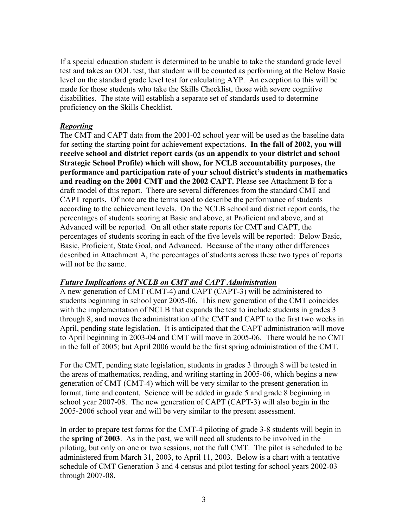If a special education student is determined to be unable to take the standard grade level test and takes an OOL test, that student will be counted as performing at the Below Basic level on the standard grade level test for calculating AYP. An exception to this will be made for those students who take the Skills Checklist, those with severe cognitive disabilities. The state will establish a separate set of standards used to determine proficiency on the Skills Checklist.

### *Reporting*

The CMT and CAPT data from the 2001-02 school year will be used as the baseline data for setting the starting point for achievement expectations. **In the fall of 2002, you will receive school and district report cards (as an appendix to your district and school Strategic School Profile) which will show, for NCLB accountability purposes, the performance and participation rate of your school district's students in mathematics and reading on the 2001 CMT and the 2002 CAPT.** Please see Attachment B for a draft model of this report. There are several differences from the standard CMT and CAPT reports. Of note are the terms used to describe the performance of students according to the achievement levels. On the NCLB school and district report cards, the percentages of students scoring at Basic and above, at Proficient and above, and at Advanced will be reported. On all other **state** reports for CMT and CAPT, the percentages of students scoring in each of the five levels will be reported: Below Basic, Basic, Proficient, State Goal, and Advanced. Because of the many other differences described in Attachment A, the percentages of students across these two types of reports will not be the same.

### *Future Implications of NCLB on CMT and CAPT Administration*

A new generation of CMT (CMT-4) and CAPT (CAPT-3) will be administered to students beginning in school year 2005-06. This new generation of the CMT coincides with the implementation of NCLB that expands the test to include students in grades 3 through 8, and moves the administration of the CMT and CAPT to the first two weeks in April, pending state legislation. It is anticipated that the CAPT administration will move to April beginning in 2003-04 and CMT will move in 2005-06. There would be no CMT in the fall of 2005; but April 2006 would be the first spring administration of the CMT.

For the CMT, pending state legislation, students in grades 3 through 8 will be tested in the areas of mathematics, reading, and writing starting in 2005-06, which begins a new generation of CMT (CMT-4) which will be very similar to the present generation in format, time and content. Science will be added in grade 5 and grade 8 beginning in school year 2007-08. The new generation of CAPT (CAPT-3) will also begin in the 2005-2006 school year and will be very similar to the present assessment.

In order to prepare test forms for the CMT-4 piloting of grade 3-8 students will begin in the **spring of 2003**. As in the past, we will need all students to be involved in the piloting, but only on one or two sessions, not the full CMT. The pilot is scheduled to be administered from March 31, 2003, to April 11, 2003. Below is a chart with a tentative schedule of CMT Generation 3 and 4 census and pilot testing for school years 2002-03 through 2007-08.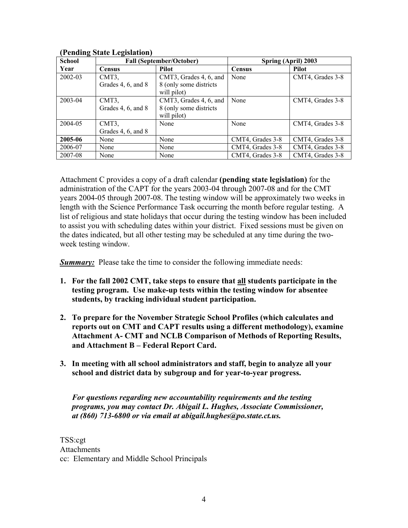| $\sim$<br><b>School</b> |                    | <b>Fall (September/October)</b> | Spring (April) 2003 |                  |  |
|-------------------------|--------------------|---------------------------------|---------------------|------------------|--|
| Year                    | <b>Census</b>      | Pilot                           | <b>Census</b>       | Pilot            |  |
| 2002-03                 | CMT3,              | CMT3, Grades 4, 6, and          | None                | CMT4, Grades 3-8 |  |
|                         | Grades 4, 6, and 8 | 8 (only some districts)         |                     |                  |  |
|                         |                    | will pilot)                     |                     |                  |  |
| 2003-04                 | CMT3,              | CMT3, Grades 4, 6, and          | None                | CMT4, Grades 3-8 |  |
|                         | Grades 4, 6, and 8 | 8 (only some districts)         |                     |                  |  |
|                         |                    | will pilot)                     |                     |                  |  |
| 2004-05                 | CMT3,              | None                            | None                | CMT4, Grades 3-8 |  |
|                         | Grades 4, 6, and 8 |                                 |                     |                  |  |
| 2005-06                 | None               | None                            | CMT4, Grades 3-8    | CMT4, Grades 3-8 |  |
| 2006-07                 | None               | None                            | CMT4, Grades 3-8    | CMT4, Grades 3-8 |  |
| 2007-08                 | None               | None                            | CMT4, Grades 3-8    | CMT4, Grades 3-8 |  |

### **(Pending State Legislation)**

Attachment C provides a copy of a draft calendar **(pending state legislation)** for the administration of the CAPT for the years 2003-04 through 2007-08 and for the CMT years 2004-05 through 2007-08. The testing window will be approximately two weeks in length with the Science Performance Task occurring the month before regular testing. A list of religious and state holidays that occur during the testing window has been included to assist you with scheduling dates within your district. Fixed sessions must be given on the dates indicated, but all other testing may be scheduled at any time during the twoweek testing window.

**Summary:** Please take the time to consider the following immediate needs:

- **1. For the fall 2002 CMT, take steps to ensure that all students participate in the testing program. Use make-up tests within the testing window for absentee students, by tracking individual student participation.**
- **2. To prepare for the November Strategic School Profiles (which calculates and reports out on CMT and CAPT results using a different methodology), examine Attachment A- CMT and NCLB Comparison of Methods of Reporting Results, and Attachment B – Federal Report Card.**
- **3. In meeting with all school administrators and staff, begin to analyze all your school and district data by subgroup and for year-to-year progress.**

*For questions regarding new accountability requirements and the testing programs, you may contact Dr. Abigail L. Hughes, Associate Commissioner, at (860) 713-6800 or via email at abigail.hughes@po.state.ct.us.* 

TSS:cgt Attachments cc: Elementary and Middle School Principals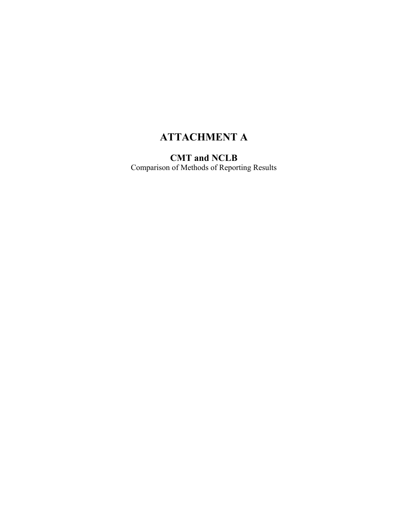# **ATTACHMENT A**

**CMT and NCLB**  Comparison of Methods of Reporting Results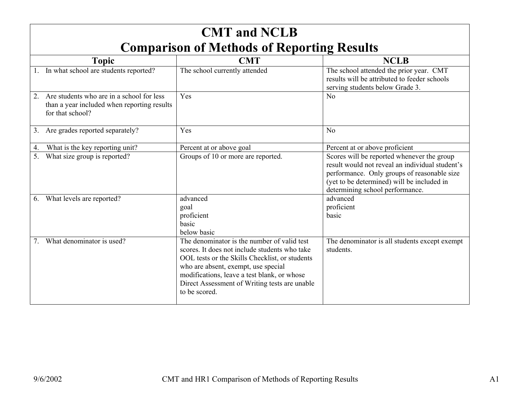| <b>CMT</b> and <b>NCLB</b>                                                                                         |                                                                                                                                                                                                                                                                                                        |                                                                                                                                                                                                                               |  |  |  |  |  |  |
|--------------------------------------------------------------------------------------------------------------------|--------------------------------------------------------------------------------------------------------------------------------------------------------------------------------------------------------------------------------------------------------------------------------------------------------|-------------------------------------------------------------------------------------------------------------------------------------------------------------------------------------------------------------------------------|--|--|--|--|--|--|
| <b>Comparison of Methods of Reporting Results</b>                                                                  |                                                                                                                                                                                                                                                                                                        |                                                                                                                                                                                                                               |  |  |  |  |  |  |
| <b>Topic</b>                                                                                                       | <b>CMT</b>                                                                                                                                                                                                                                                                                             | <b>NCLB</b>                                                                                                                                                                                                                   |  |  |  |  |  |  |
| 1. In what school are students reported?                                                                           | The school currently attended                                                                                                                                                                                                                                                                          | The school attended the prior year. CMT<br>results will be attributed to feeder schools<br>serving students below Grade 3.                                                                                                    |  |  |  |  |  |  |
| Are students who are in a school for less<br>2.<br>than a year included when reporting results<br>for that school? | Yes                                                                                                                                                                                                                                                                                                    | N <sub>o</sub>                                                                                                                                                                                                                |  |  |  |  |  |  |
| Are grades reported separately?<br>3.                                                                              | Yes                                                                                                                                                                                                                                                                                                    | N <sub>o</sub>                                                                                                                                                                                                                |  |  |  |  |  |  |
| What is the key reporting unit?<br>4.                                                                              | Percent at or above goal                                                                                                                                                                                                                                                                               | Percent at or above proficient                                                                                                                                                                                                |  |  |  |  |  |  |
| What size group is reported?<br>5.                                                                                 | Groups of 10 or more are reported.                                                                                                                                                                                                                                                                     | Scores will be reported whenever the group<br>result would not reveal an individual student's<br>performance. Only groups of reasonable size<br>(yet to be determined) will be included in<br>determining school performance. |  |  |  |  |  |  |
| What levels are reported?<br>6.                                                                                    | advanced<br>goal<br>proficient<br>hasic<br>below basic                                                                                                                                                                                                                                                 | advanced<br>proficient<br>basic                                                                                                                                                                                               |  |  |  |  |  |  |
| What denominator is used?                                                                                          | The denominator is the number of valid test<br>scores. It does not include students who take<br>OOL tests or the Skills Checklist, or students<br>who are absent, exempt, use special<br>modifications, leave a test blank, or whose<br>Direct Assessment of Writing tests are unable<br>to be scored. | The denominator is all students except exempt<br>students.                                                                                                                                                                    |  |  |  |  |  |  |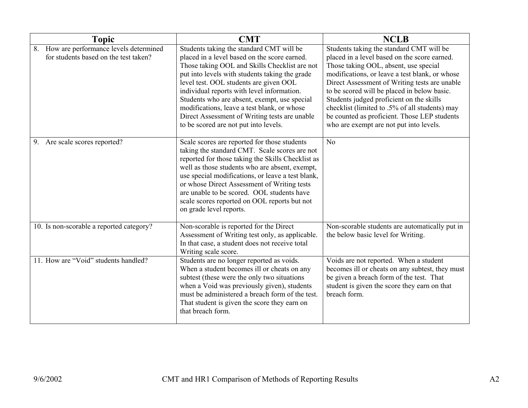| <b>Topic</b>                                                                      | <b>CMT</b>                                                                                                                                                                                                                                                                                                                                                                                                                                                                   | <b>NCLB</b>                                                                                                                                                                                                                                                                                                                                                                                                                                                                  |
|-----------------------------------------------------------------------------------|------------------------------------------------------------------------------------------------------------------------------------------------------------------------------------------------------------------------------------------------------------------------------------------------------------------------------------------------------------------------------------------------------------------------------------------------------------------------------|------------------------------------------------------------------------------------------------------------------------------------------------------------------------------------------------------------------------------------------------------------------------------------------------------------------------------------------------------------------------------------------------------------------------------------------------------------------------------|
| 8. How are performance levels determined<br>for students based on the test taken? | Students taking the standard CMT will be<br>placed in a level based on the score earned.<br>Those taking OOL and Skills Checklist are not<br>put into levels with students taking the grade<br>level test. OOL students are given OOL<br>individual reports with level information.<br>Students who are absent, exempt, use special<br>modifications, leave a test blank, or whose<br>Direct Assessment of Writing tests are unable<br>to be scored are not put into levels. | Students taking the standard CMT will be<br>placed in a level based on the score earned.<br>Those taking OOL, absent, use special<br>modifications, or leave a test blank, or whose<br>Direct Assessment of Writing tests are unable<br>to be scored will be placed in below basic.<br>Students judged proficient on the skills<br>checklist (limited to .5% of all students) may<br>be counted as proficient. Those LEP students<br>who are exempt are not put into levels. |
| 9. Are scale scores reported?                                                     | Scale scores are reported for those students<br>taking the standard CMT. Scale scores are not<br>reported for those taking the Skills Checklist as<br>well as those students who are absent, exempt,<br>use special modifications, or leave a test blank,<br>or whose Direct Assessment of Writing tests<br>are unable to be scored. OOL students have<br>scale scores reported on OOL reports but not<br>on grade level reports.                                            | N <sub>o</sub>                                                                                                                                                                                                                                                                                                                                                                                                                                                               |
| 10. Is non-scorable a reported category?                                          | Non-scorable is reported for the Direct<br>Assessment of Writing test only, as applicable.<br>In that case, a student does not receive total<br>Writing scale score.                                                                                                                                                                                                                                                                                                         | Non-scorable students are automatically put in<br>the below basic level for Writing.                                                                                                                                                                                                                                                                                                                                                                                         |
| 11. How are "Void" students handled?                                              | Students are no longer reported as voids.<br>When a student becomes ill or cheats on any<br>subtest (these were the only two situations<br>when a Void was previously given), students<br>must be administered a breach form of the test.<br>That student is given the score they earn on<br>that breach form.                                                                                                                                                               | Voids are not reported. When a student<br>becomes ill or cheats on any subtest, they must<br>be given a breach form of the test. That<br>student is given the score they earn on that<br>breach form.                                                                                                                                                                                                                                                                        |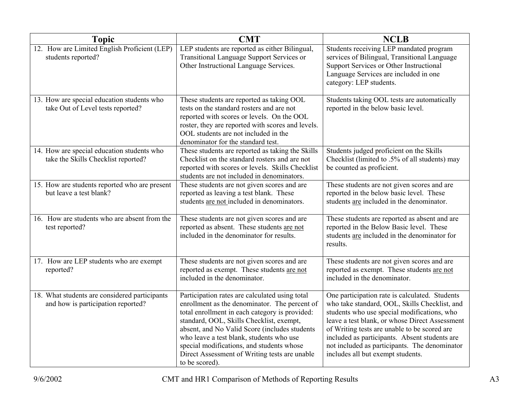| <b>Topic</b>                                                                        | <b>CMT</b>                                                                                                                                                                                                                                                                                                                                                                                                 | <b>NCLB</b>                                                                                                                                                                                                                                                                                                                                                                             |
|-------------------------------------------------------------------------------------|------------------------------------------------------------------------------------------------------------------------------------------------------------------------------------------------------------------------------------------------------------------------------------------------------------------------------------------------------------------------------------------------------------|-----------------------------------------------------------------------------------------------------------------------------------------------------------------------------------------------------------------------------------------------------------------------------------------------------------------------------------------------------------------------------------------|
| 12. How are Limited English Proficient (LEP)<br>students reported?                  | LEP students are reported as either Bilingual,<br>Transitional Language Support Services or<br>Other Instructional Language Services.                                                                                                                                                                                                                                                                      | Students receiving LEP mandated program<br>services of Bilingual, Transitional Language<br>Support Services or Other Instructional<br>Language Services are included in one<br>category: LEP students.                                                                                                                                                                                  |
| 13. How are special education students who<br>take Out of Level tests reported?     | These students are reported as taking OOL<br>tests on the standard rosters and are not<br>reported with scores or levels. On the OOL<br>roster, they are reported with scores and levels.<br>OOL students are not included in the<br>denominator for the standard test.                                                                                                                                    | Students taking OOL tests are automatically<br>reported in the below basic level.                                                                                                                                                                                                                                                                                                       |
| 14. How are special education students who<br>take the Skills Checklist reported?   | These students are reported as taking the Skills<br>Checklist on the standard rosters and are not<br>reported with scores or levels. Skills Checklist<br>students are not included in denominators.                                                                                                                                                                                                        | Students judged proficient on the Skills<br>Checklist (limited to .5% of all students) may<br>be counted as proficient.                                                                                                                                                                                                                                                                 |
| 15. How are students reported who are present<br>but leave a test blank?            | These students are not given scores and are<br>reported as leaving a test blank. These<br>students are not included in denominators.                                                                                                                                                                                                                                                                       | These students are not given scores and are<br>reported in the below basic level. These<br>students are included in the denominator.                                                                                                                                                                                                                                                    |
| 16. How are students who are absent from the<br>test reported?                      | These students are not given scores and are<br>reported as absent. These students are not<br>included in the denominator for results.                                                                                                                                                                                                                                                                      | These students are reported as absent and are<br>reported in the Below Basic level. These<br>students are included in the denominator for<br>results.                                                                                                                                                                                                                                   |
| 17. How are LEP students who are exempt<br>reported?                                | These students are not given scores and are<br>reported as exempt. These students are not<br>included in the denominator.                                                                                                                                                                                                                                                                                  | These students are not given scores and are<br>reported as exempt. These students are not<br>included in the denominator.                                                                                                                                                                                                                                                               |
| 18. What students are considered participants<br>and how is participation reported? | Participation rates are calculated using total<br>enrollment as the denominator. The percent of<br>total enrollment in each category is provided:<br>standard, OOL, Skills Checklist, exempt,<br>absent, and No Valid Score (includes students<br>who leave a test blank, students who use<br>special modifications, and students whose<br>Direct Assessment of Writing tests are unable<br>to be scored). | One participation rate is calculated. Students<br>who take standard, OOL, Skills Checklist, and<br>students who use special modifications, who<br>leave a test blank, or whose Direct Assessment<br>of Writing tests are unable to be scored are<br>included as participants. Absent students are<br>not included as participants. The denominator<br>includes all but exempt students. |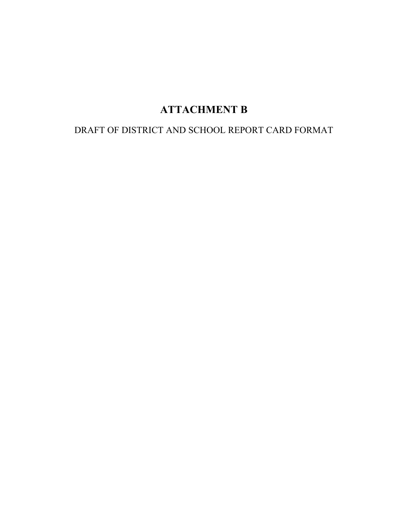# **ATTACHMENT B**

## DRAFT OF DISTRICT AND SCHOOL REPORT CARD FORMAT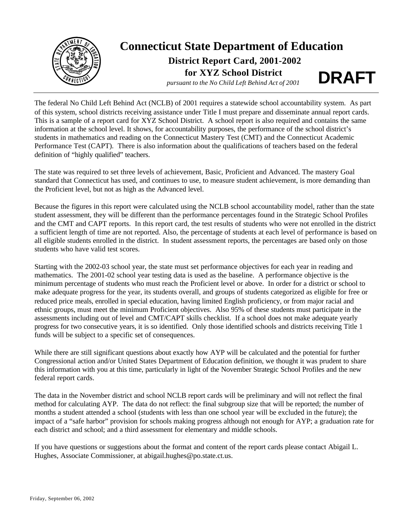

## **Connecticut State Department of Education**

### **District Report Card, 2001-2002 for XYZ School District**

**pursuant to the No Child Left Behind Act of 2001 DRAFT** 

The federal No Child Left Behind Act (NCLB) of 2001 requires a statewide school accountability system. As part of this system, school districts receiving assistance under Title I must prepare and disseminate annual report cards. This is a sample of a report card for XYZ School District. A school report is also required and contains the same information at the school level. It shows, for accountability purposes, the performance of the school district's students in mathematics and reading on the Connecticut Mastery Test (CMT) and the Connecticut Academic Performance Test (CAPT). There is also information about the qualifications of teachers based on the federal definition of "highly qualified" teachers.

The state was required to set three levels of achievement, Basic, Proficient and Advanced. The mastery Goal standard that Connecticut has used, and continues to use, to measure student achievement, is more demanding than the Proficient level, but not as high as the Advanced level.

Because the figures in this report were calculated using the NCLB school accountability model, rather than the state student assessment, they will be different than the performance percentages found in the Strategic School Profiles and the CMT and CAPT reports. In this report card, the test results of students who were not enrolled in the district a sufficient length of time are not reported. Also, the percentage of students at each level of performance is based on all eligible students enrolled in the district. In student assessment reports, the percentages are based only on those students who have valid test scores.

Starting with the 2002-03 school year, the state must set performance objectives for each year in reading and mathematics. The 2001-02 school year testing data is used as the baseline. A performance objective is the minimum percentage of students who must reach the Proficient level or above. In order for a district or school to make adequate progress for the year, its students overall, and groups of students categorized as eligible for free or reduced price meals, enrolled in special education, having limited English proficiency, or from major racial and ethnic groups, must meet the minimum Proficient objectives. Also 95% of these students must participate in the assessments including out of level and CMT/CAPT skills checklist. If a school does not make adequate yearly progress for two consecutive years, it is so identified. Only those identified schools and districts receiving Title 1 funds will be subject to a specific set of consequences.

While there are still significant questions about exactly how AYP will be calculated and the potential for further Congressional action and/or United States Department of Education definition, we thought it was prudent to share this information with you at this time, particularly in light of the November Strategic School Profiles and the new federal report cards.

The data in the November district and school NCLB report cards will be preliminary and will not reflect the final method for calculating AYP. The data do not reflect: the final subgroup size that will be reported; the number of months a student attended a school (students with less than one school year will be excluded in the future); the impact of a "safe harbor" provision for schools making progress although not enough for AYP; a graduation rate for each district and school; and a third assessment for elementary and middle schools.

If you have questions or suggestions about the format and content of the report cards please contact Abigail L. Hughes, Associate Commissioner, at abigail.hughes@po.state.ct.us.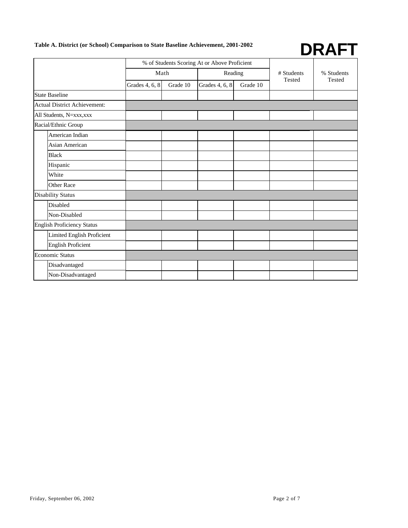# **Table A. District (or School) Comparison to State Baseline Achievement, 2001-2002 DRAFT**



|                                     |                | % of Students Scoring At or Above Proficient |                |          |            |            |
|-------------------------------------|----------------|----------------------------------------------|----------------|----------|------------|------------|
|                                     |                | Math                                         | Reading        |          | # Students | % Students |
|                                     | Grades 4, 6, 8 | Grade 10                                     | Grades 4, 6, 8 | Grade 10 | Tested     | Tested     |
| <b>State Baseline</b>               |                |                                              |                |          |            |            |
| <b>Actual District Achievement:</b> |                |                                              |                |          |            |            |
| All Students, N=xxx, xxx            |                |                                              |                |          |            |            |
| Racial/Ethnic Group                 |                |                                              |                |          |            |            |
| American Indian                     |                |                                              |                |          |            |            |
| <b>Asian American</b>               |                |                                              |                |          |            |            |
| <b>Black</b>                        |                |                                              |                |          |            |            |
| Hispanic                            |                |                                              |                |          |            |            |
| White                               |                |                                              |                |          |            |            |
| <b>Other Race</b>                   |                |                                              |                |          |            |            |
| <b>Disability Status</b>            |                |                                              |                |          |            |            |
| Disabled                            |                |                                              |                |          |            |            |
| Non-Disabled                        |                |                                              |                |          |            |            |
| <b>English Proficiency Status</b>   |                |                                              |                |          |            |            |
| Limited English Proficient          |                |                                              |                |          |            |            |
| <b>English Proficient</b>           |                |                                              |                |          |            |            |
| Economic Status                     |                |                                              |                |          |            |            |
| Disadvantaged                       |                |                                              |                |          |            |            |
| Non-Disadvantaged                   |                |                                              |                |          |            |            |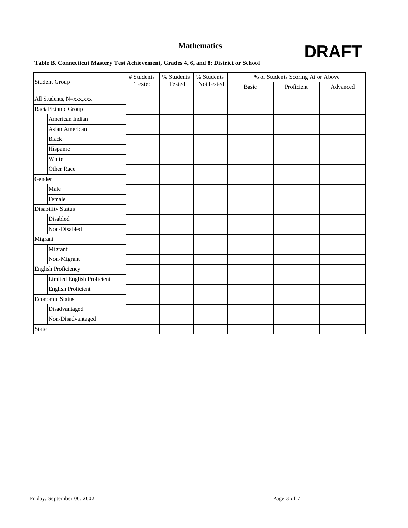

### **Table B. Connecticut Mastery Test Achievement, Grades 4, 6, and 8: District or School**

|                            | # Students | % Students<br>Tested | % Students | % of Students Scoring At or Above |            |          |
|----------------------------|------------|----------------------|------------|-----------------------------------|------------|----------|
| <b>Student Group</b>       | Tested     |                      | NotTested  | <b>Basic</b>                      | Proficient | Advanced |
| All Students, N=xxx, xxx   |            |                      |            |                                   |            |          |
| Racial/Ethnic Group        |            |                      |            |                                   |            |          |
| American Indian            |            |                      |            |                                   |            |          |
| Asian American             |            |                      |            |                                   |            |          |
| <b>Black</b>               |            |                      |            |                                   |            |          |
| Hispanic                   |            |                      |            |                                   |            |          |
| White                      |            |                      |            |                                   |            |          |
| <b>Other Race</b>          |            |                      |            |                                   |            |          |
| Gender                     |            |                      |            |                                   |            |          |
| Male                       |            |                      |            |                                   |            |          |
| Female                     |            |                      |            |                                   |            |          |
| <b>Disability Status</b>   |            |                      |            |                                   |            |          |
| Disabled                   |            |                      |            |                                   |            |          |
| Non-Disabled               |            |                      |            |                                   |            |          |
| Migrant                    |            |                      |            |                                   |            |          |
| Migrant                    |            |                      |            |                                   |            |          |
| Non-Migrant                |            |                      |            |                                   |            |          |
| English Proficiency        |            |                      |            |                                   |            |          |
| Limited English Proficient |            |                      |            |                                   |            |          |
| <b>English Proficient</b>  |            |                      |            |                                   |            |          |
| Economic Status            |            |                      |            |                                   |            |          |
| Disadvantaged              |            |                      |            |                                   |            |          |
| Non-Disadvantaged          |            |                      |            |                                   |            |          |
| <b>State</b>               |            |                      |            |                                   |            |          |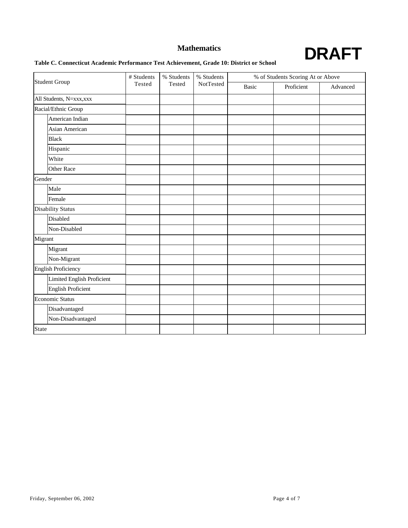

### **Table C. Connecticut Academic Performance Test Achievement, Grade 10: District or School**

|                            | # Students | % Students | % Students | % of Students Scoring At or Above |            |          |
|----------------------------|------------|------------|------------|-----------------------------------|------------|----------|
| <b>Student Group</b>       | Tested     | Tested     | NotTested  | <b>Basic</b>                      | Proficient | Advanced |
| All Students, N=xxx, xxx   |            |            |            |                                   |            |          |
| Racial/Ethnic Group        |            |            |            |                                   |            |          |
| American Indian            |            |            |            |                                   |            |          |
| Asian American             |            |            |            |                                   |            |          |
| <b>Black</b>               |            |            |            |                                   |            |          |
| Hispanic                   |            |            |            |                                   |            |          |
| White                      |            |            |            |                                   |            |          |
| Other Race                 |            |            |            |                                   |            |          |
| Gender                     |            |            |            |                                   |            |          |
| Male                       |            |            |            |                                   |            |          |
| Female                     |            |            |            |                                   |            |          |
| <b>Disability Status</b>   |            |            |            |                                   |            |          |
| Disabled                   |            |            |            |                                   |            |          |
| Non-Disabled               |            |            |            |                                   |            |          |
| Migrant                    |            |            |            |                                   |            |          |
| Migrant                    |            |            |            |                                   |            |          |
| Non-Migrant                |            |            |            |                                   |            |          |
| English Proficiency        |            |            |            |                                   |            |          |
| Limited English Proficient |            |            |            |                                   |            |          |
| <b>English Proficient</b>  |            |            |            |                                   |            |          |
| Economic Status            |            |            |            |                                   |            |          |
| Disadvantaged              |            |            |            |                                   |            |          |
| Non-Disadvantaged          |            |            |            |                                   |            |          |
| <b>State</b>               |            |            |            |                                   |            |          |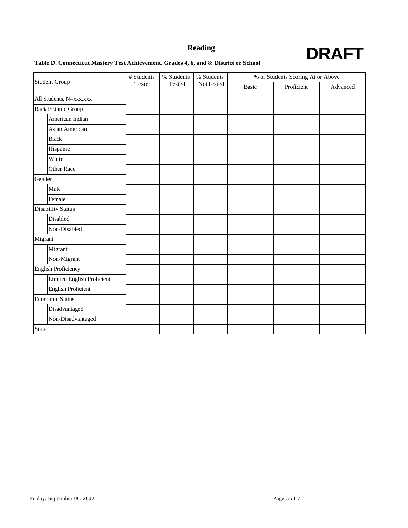

### **Table D. Connecticut Mastery Test Achievement, Grades 4, 6, and 8: District or School**

|                            | # Students | % Students | % Students |              | % of Students Scoring At or Above |          |  |
|----------------------------|------------|------------|------------|--------------|-----------------------------------|----------|--|
| <b>Student Group</b>       | Tested     | Tested     | NotTested  | <b>Basic</b> | Proficient                        | Advanced |  |
| All Students, N=xxx, xxx   |            |            |            |              |                                   |          |  |
| Racial/Ethnic Group        |            |            |            |              |                                   |          |  |
| American Indian            |            |            |            |              |                                   |          |  |
| Asian American             |            |            |            |              |                                   |          |  |
| <b>Black</b>               |            |            |            |              |                                   |          |  |
| Hispanic                   |            |            |            |              |                                   |          |  |
| White                      |            |            |            |              |                                   |          |  |
| Other Race                 |            |            |            |              |                                   |          |  |
| Gender                     |            |            |            |              |                                   |          |  |
| Male                       |            |            |            |              |                                   |          |  |
| Female                     |            |            |            |              |                                   |          |  |
| <b>Disability Status</b>   |            |            |            |              |                                   |          |  |
| Disabled                   |            |            |            |              |                                   |          |  |
| Non-Disabled               |            |            |            |              |                                   |          |  |
| Migrant                    |            |            |            |              |                                   |          |  |
| Migrant                    |            |            |            |              |                                   |          |  |
| Non-Migrant                |            |            |            |              |                                   |          |  |
| English Proficiency        |            |            |            |              |                                   |          |  |
| Limited English Proficient |            |            |            |              |                                   |          |  |
| <b>English Proficient</b>  |            |            |            |              |                                   |          |  |
| Economic Status            |            |            |            |              |                                   |          |  |
| Disadvantaged              |            |            |            |              |                                   |          |  |
| Non-Disadvantaged          |            |            |            |              |                                   |          |  |
| <b>State</b>               |            |            |            |              |                                   |          |  |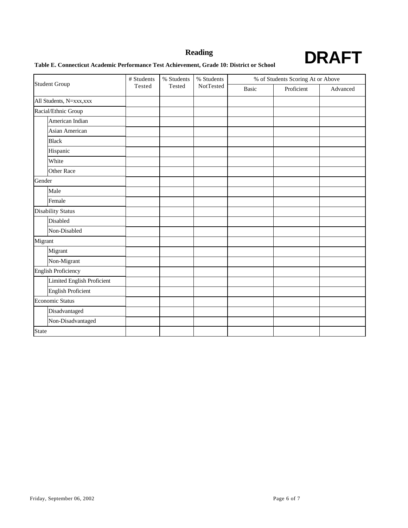### **Reading**



# **Table E. Connecticut Academic Performance Test Achievement, Grade 10: District or School DRAFT**

|                            | # Students | % Students | % Students |       | % of Students Scoring At or Above |          |  |
|----------------------------|------------|------------|------------|-------|-----------------------------------|----------|--|
| <b>Student Group</b>       | Tested     | Tested     | NotTested  | Basic | Proficient                        | Advanced |  |
| All Students, N=xxx, xxx   |            |            |            |       |                                   |          |  |
| Racial/Ethnic Group        |            |            |            |       |                                   |          |  |
| American Indian            |            |            |            |       |                                   |          |  |
| Asian American             |            |            |            |       |                                   |          |  |
| <b>Black</b>               |            |            |            |       |                                   |          |  |
| Hispanic                   |            |            |            |       |                                   |          |  |
| White                      |            |            |            |       |                                   |          |  |
| Other Race                 |            |            |            |       |                                   |          |  |
| Gender                     |            |            |            |       |                                   |          |  |
| Male                       |            |            |            |       |                                   |          |  |
| Female                     |            |            |            |       |                                   |          |  |
| <b>Disability Status</b>   |            |            |            |       |                                   |          |  |
| Disabled                   |            |            |            |       |                                   |          |  |
| Non-Disabled               |            |            |            |       |                                   |          |  |
| Migrant                    |            |            |            |       |                                   |          |  |
| Migrant                    |            |            |            |       |                                   |          |  |
| Non-Migrant                |            |            |            |       |                                   |          |  |
| English Proficiency        |            |            |            |       |                                   |          |  |
| Limited English Proficient |            |            |            |       |                                   |          |  |
| <b>English Proficient</b>  |            |            |            |       |                                   |          |  |
| Economic Status            |            |            |            |       |                                   |          |  |
| Disadvantaged              |            |            |            |       |                                   |          |  |
| Non-Disadvantaged          |            |            |            |       |                                   |          |  |
| <b>State</b>               |            |            |            |       |                                   |          |  |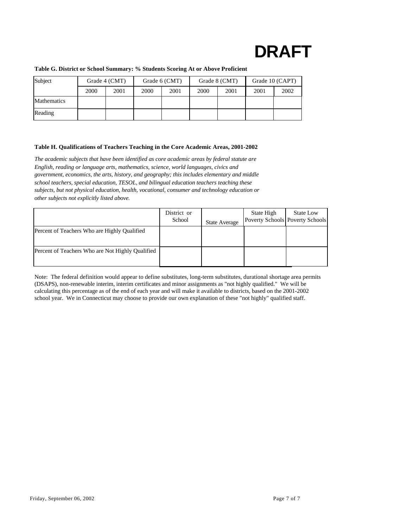# **DRAFT**

| Subject            | Grade 4 (CMT) |      | Grade 6 (CMT) |      | Grade 8 (CMT) |      | Grade 10 (CAPT) |      |
|--------------------|---------------|------|---------------|------|---------------|------|-----------------|------|
|                    | 2000          | 2001 | 2000          | 2001 | 2000          | 2001 | 2001            | 2002 |
| <b>Mathematics</b> |               |      |               |      |               |      |                 |      |
| Reading            |               |      |               |      |               |      |                 |      |

### **Table G. District or School Summary: % Students Scoring At or Above Proficient**

### **Table H. Qualifications of Teachers Teaching in the Core Academic Areas, 2001-2002**

*The academic subjects that have been identified as core academic areas by federal statute are English, reading or language arts, mathematics, science, world languages, civics and government, economics, the arts, history, and geography; this includes elementary and middle school teachers, special education, TESOL, and bilingual education teachers teaching these subjects, but not physical education, health, vocational, consumer and technology education or other subjects not explicitly listed above.* 

|                                                  | District or<br>School | <b>State Average</b> | State High | <b>State Low</b><br>Poverty Schools Poverty Schools |
|--------------------------------------------------|-----------------------|----------------------|------------|-----------------------------------------------------|
| Percent of Teachers Who are Highly Qualified     |                       |                      |            |                                                     |
| Percent of Teachers Who are Not Highly Qualified |                       |                      |            |                                                     |

Note: The federal definition would appear to define substitutes, long-term substitutes, durational shortage area permits (DSAPS), non-renewable interim, interim certificates and minor assignments as "not highly qualified." We will be calculating this percentage as of the end of each year and will make it available to districts, based on the 2001-2002 school year. We in Connecticut may choose to provide our own explanation of these "not highly" qualified staff.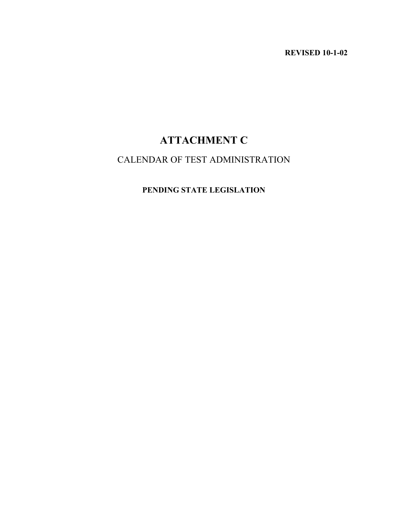**REVISED 10-1-02** 

# **ATTACHMENT C**

## CALENDAR OF TEST ADMINISTRATION

### **PENDING STATE LEGISLATION**